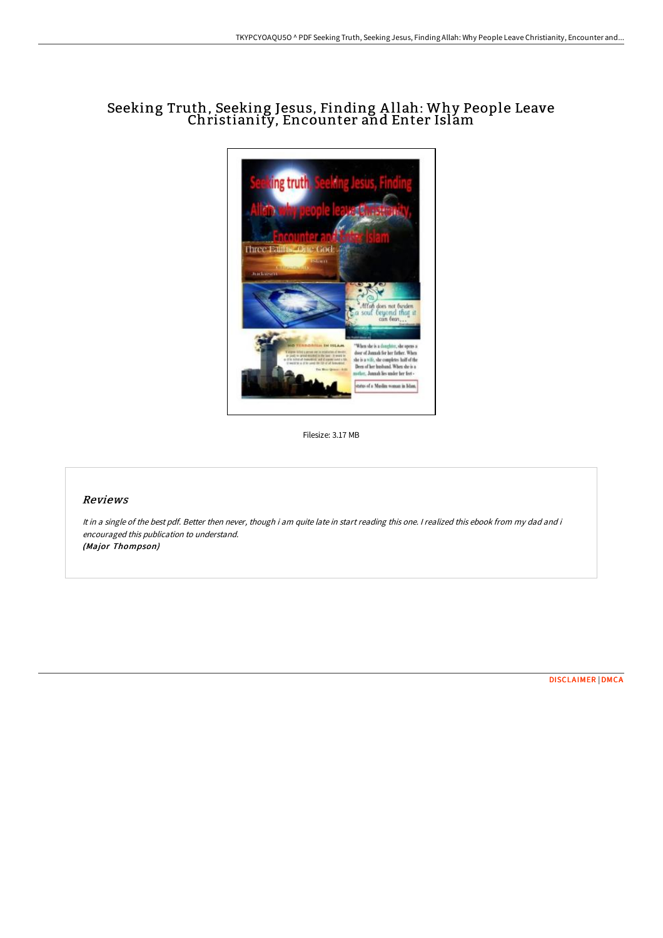# Seeking Truth, Seeking Jesus, Finding A llah: Why People Leave Christianity, Encounter and Enter Islam



Filesize: 3.17 MB

## Reviews

It in <sup>a</sup> single of the best pdf. Better then never, though i am quite late in start reading this one. <sup>I</sup> realized this ebook from my dad and i encouraged this publication to understand. (Major Thompson)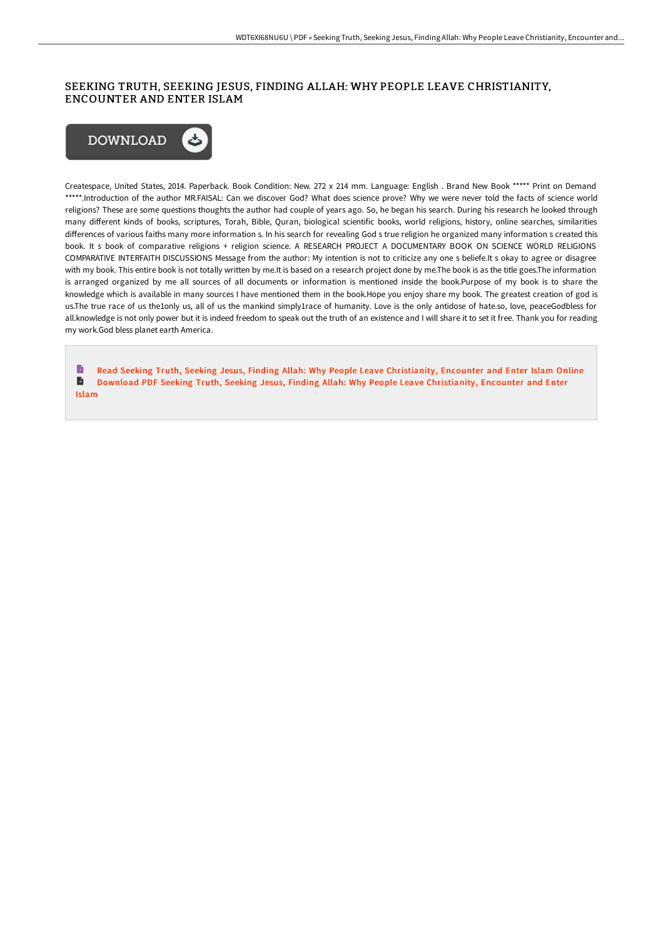## SEEKING TRUTH, SEEKING JESUS, FINDING ALLAH: WHY PEOPLE LEAVE CHRISTIANITY, ENCOUNTER AND ENTER ISLAM



Createspace, United States, 2014. Paperback. Book Condition: New. 272 x 214 mm. Language: English . Brand New Book \*\*\*\*\* Print on Demand \*\*\*\*\*.Introduction of the author MR.FAISAL: Can we discover God? What does science prove? Why we were never told the facts of science world religions? These are some questions thoughts the author had couple of years ago. So, he began his search. During his research he looked through many diGerent kinds of books, scriptures, Torah, Bible, Quran, biological scientific books, world religions, history, online searches, similarities differences of various faiths many more information s. In his search for revealing God s true religion he organized many information s created this book. It s book of comparative religions + religion science. A RESEARCH PROJECT A DOCUMENTARY BOOK ON SCIENCE WORLD RELIGIONS COMPARATIVE INTERFAITH DISCUSSIONS Message from the author: My intention is not to criticize any one s beliefe.It s okay to agree or disagree with my book. This entire book is not totally written by me.It is based on a research project done by me.The book is as the title goes.The information is arranged organized by me all sources of all documents or information is mentioned inside the book.Purpose of my book is to share the knowledge which is available in many sources I have mentioned them in the book.Hope you enjoy share my book. The greatest creation of god is us.The true race of us the1only us, all of us the mankind simply1race of humanity. Love is the only antidose of hate.so, love, peaceGodbless for all.knowledge is not only power but it is indeed freedom to speak out the truth of an existence and I will share it to set it free. Thank you for reading my work.God bless planet earth America.

Read Seeking Truth, Seeking Jesus, Finding Allah: Why People Leave [Christianity,](http://bookera.tech/seeking-truth-seeking-jesus-finding-allah-why-pe.html) Encounter and Enter Islam Online  $\blacktriangleright$ Download PDF Seeking Truth, Seeking Jesus, Finding Allah: Why People Leave [Christianity,](http://bookera.tech/seeking-truth-seeking-jesus-finding-allah-why-pe.html) Encounter and Enter Islam